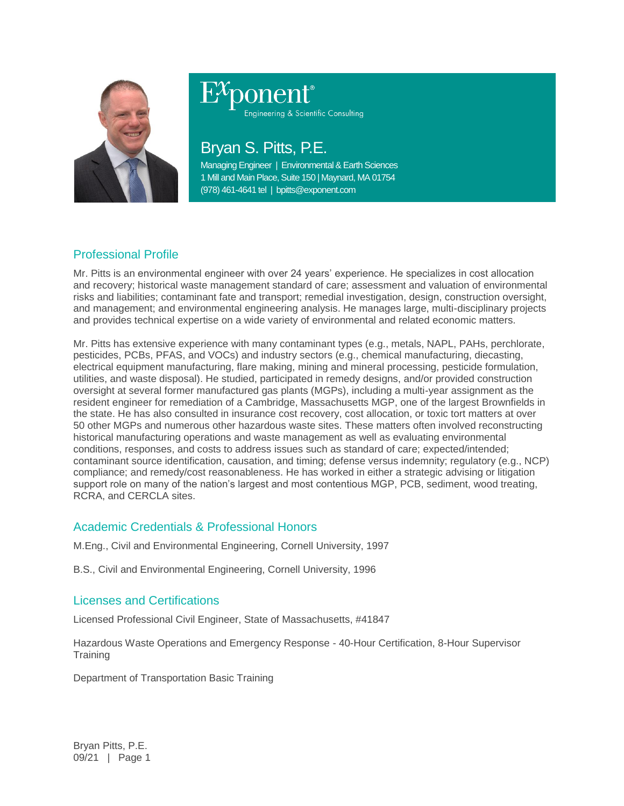

Engineering & Scientific Consulting

# Bryan S. Pitts, P.E.

Managing Engineer | Environmental & Earth Sciences 1 Mill and Main Place, Suite 150 | Maynard, MA 01754 (978) 461-4641 tel | bpitts@exponent.com

# Professional Profile

Mr. Pitts is an environmental engineer with over 24 years' experience. He specializes in cost allocation and recovery; historical waste management standard of care; assessment and valuation of environmental risks and liabilities; contaminant fate and transport; remedial investigation, design, construction oversight, and management; and environmental engineering analysis. He manages large, multi-disciplinary projects and provides technical expertise on a wide variety of environmental and related economic matters.

Mr. Pitts has extensive experience with many contaminant types (e.g., metals, NAPL, PAHs, perchlorate, pesticides, PCBs, PFAS, and VOCs) and industry sectors (e.g., chemical manufacturing, diecasting, electrical equipment manufacturing, flare making, mining and mineral processing, pesticide formulation, utilities, and waste disposal). He studied, participated in remedy designs, and/or provided construction oversight at several former manufactured gas plants (MGPs), including a multi-year assignment as the resident engineer for remediation of a Cambridge, Massachusetts MGP, one of the largest Brownfields in the state. He has also consulted in insurance cost recovery, cost allocation, or toxic tort matters at over 50 other MGPs and numerous other hazardous waste sites. These matters often involved reconstructing historical manufacturing operations and waste management as well as evaluating environmental conditions, responses, and costs to address issues such as standard of care; expected/intended; contaminant source identification, causation, and timing; defense versus indemnity; regulatory (e.g., NCP) compliance; and remedy/cost reasonableness. He has worked in either a strategic advising or litigation support role on many of the nation's largest and most contentious MGP, PCB, sediment, wood treating, RCRA, and CERCLA sites.

# Academic Credentials & Professional Honors

M.Eng., Civil and Environmental Engineering, Cornell University, 1997

B.S., Civil and Environmental Engineering, Cornell University, 1996

# Licenses and Certifications

Licensed Professional Civil Engineer, State of Massachusetts, #41847

Hazardous Waste Operations and Emergency Response - 40-Hour Certification, 8-Hour Supervisor **Training** 

Department of Transportation Basic Training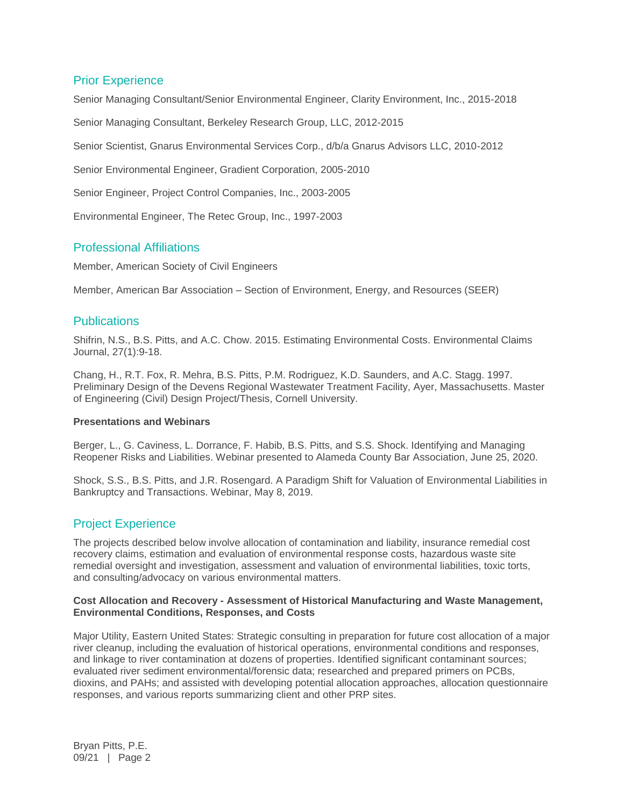# Prior Experience

Senior Managing Consultant/Senior Environmental Engineer, Clarity Environment, Inc., 2015-2018

Senior Managing Consultant, Berkeley Research Group, LLC, 2012-2015

Senior Scientist, Gnarus Environmental Services Corp., d/b/a Gnarus Advisors LLC, 2010-2012

Senior Environmental Engineer, Gradient Corporation, 2005-2010

Senior Engineer, Project Control Companies, Inc., 2003-2005

Environmental Engineer, The Retec Group, Inc., 1997-2003

## Professional Affiliations

Member, American Society of Civil Engineers

Member, American Bar Association – Section of Environment, Energy, and Resources (SEER)

### **Publications**

Shifrin, N.S., B.S. Pitts, and A.C. Chow. 2015. Estimating Environmental Costs. Environmental Claims Journal, 27(1):9-18.

Chang, H., R.T. Fox, R. Mehra, B.S. Pitts, P.M. Rodriguez, K.D. Saunders, and A.C. Stagg. 1997. Preliminary Design of the Devens Regional Wastewater Treatment Facility, Ayer, Massachusetts. Master of Engineering (Civil) Design Project/Thesis, Cornell University.

#### **Presentations and Webinars**

Berger, L., G. Caviness, L. Dorrance, F. Habib, B.S. Pitts, and S.S. Shock. Identifying and Managing Reopener Risks and Liabilities. Webinar presented to Alameda County Bar Association, June 25, 2020.

Shock, S.S., B.S. Pitts, and J.R. Rosengard. A Paradigm Shift for Valuation of Environmental Liabilities in Bankruptcy and Transactions. Webinar, May 8, 2019.

# Project Experience

The projects described below involve allocation of contamination and liability, insurance remedial cost recovery claims, estimation and evaluation of environmental response costs, hazardous waste site remedial oversight and investigation, assessment and valuation of environmental liabilities, toxic torts, and consulting/advocacy on various environmental matters.

#### **Cost Allocation and Recovery - Assessment of Historical Manufacturing and Waste Management, Environmental Conditions, Responses, and Costs**

Major Utility, Eastern United States: Strategic consulting in preparation for future cost allocation of a major river cleanup, including the evaluation of historical operations, environmental conditions and responses, and linkage to river contamination at dozens of properties. Identified significant contaminant sources; evaluated river sediment environmental/forensic data; researched and prepared primers on PCBs, dioxins, and PAHs; and assisted with developing potential allocation approaches, allocation questionnaire responses, and various reports summarizing client and other PRP sites.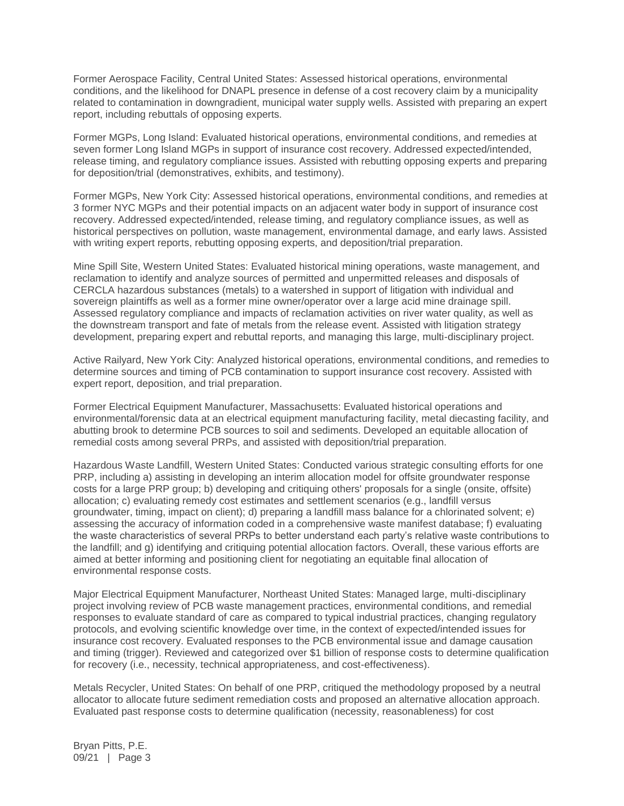Former Aerospace Facility, Central United States: Assessed historical operations, environmental conditions, and the likelihood for DNAPL presence in defense of a cost recovery claim by a municipality related to contamination in downgradient, municipal water supply wells. Assisted with preparing an expert report, including rebuttals of opposing experts.

Former MGPs, Long Island: Evaluated historical operations, environmental conditions, and remedies at seven former Long Island MGPs in support of insurance cost recovery. Addressed expected/intended, release timing, and regulatory compliance issues. Assisted with rebutting opposing experts and preparing for deposition/trial (demonstratives, exhibits, and testimony).

Former MGPs, New York City: Assessed historical operations, environmental conditions, and remedies at 3 former NYC MGPs and their potential impacts on an adjacent water body in support of insurance cost recovery. Addressed expected/intended, release timing, and regulatory compliance issues, as well as historical perspectives on pollution, waste management, environmental damage, and early laws. Assisted with writing expert reports, rebutting opposing experts, and deposition/trial preparation.

Mine Spill Site, Western United States: Evaluated historical mining operations, waste management, and reclamation to identify and analyze sources of permitted and unpermitted releases and disposals of CERCLA hazardous substances (metals) to a watershed in support of litigation with individual and sovereign plaintiffs as well as a former mine owner/operator over a large acid mine drainage spill. Assessed regulatory compliance and impacts of reclamation activities on river water quality, as well as the downstream transport and fate of metals from the release event. Assisted with litigation strategy development, preparing expert and rebuttal reports, and managing this large, multi-disciplinary project.

Active Railyard, New York City: Analyzed historical operations, environmental conditions, and remedies to determine sources and timing of PCB contamination to support insurance cost recovery. Assisted with expert report, deposition, and trial preparation.

Former Electrical Equipment Manufacturer, Massachusetts: Evaluated historical operations and environmental/forensic data at an electrical equipment manufacturing facility, metal diecasting facility, and abutting brook to determine PCB sources to soil and sediments. Developed an equitable allocation of remedial costs among several PRPs, and assisted with deposition/trial preparation.

Hazardous Waste Landfill, Western United States: Conducted various strategic consulting efforts for one PRP, including a) assisting in developing an interim allocation model for offsite groundwater response costs for a large PRP group; b) developing and critiquing others' proposals for a single (onsite, offsite) allocation; c) evaluating remedy cost estimates and settlement scenarios (e.g., landfill versus groundwater, timing, impact on client); d) preparing a landfill mass balance for a chlorinated solvent; e) assessing the accuracy of information coded in a comprehensive waste manifest database; f) evaluating the waste characteristics of several PRPs to better understand each party's relative waste contributions to the landfill; and g) identifying and critiquing potential allocation factors. Overall, these various efforts are aimed at better informing and positioning client for negotiating an equitable final allocation of environmental response costs.

Major Electrical Equipment Manufacturer, Northeast United States: Managed large, multi-disciplinary project involving review of PCB waste management practices, environmental conditions, and remedial responses to evaluate standard of care as compared to typical industrial practices, changing regulatory protocols, and evolving scientific knowledge over time, in the context of expected/intended issues for insurance cost recovery. Evaluated responses to the PCB environmental issue and damage causation and timing (trigger). Reviewed and categorized over \$1 billion of response costs to determine qualification for recovery (i.e., necessity, technical appropriateness, and cost-effectiveness).

Metals Recycler, United States: On behalf of one PRP, critiqued the methodology proposed by a neutral allocator to allocate future sediment remediation costs and proposed an alternative allocation approach. Evaluated past response costs to determine qualification (necessity, reasonableness) for cost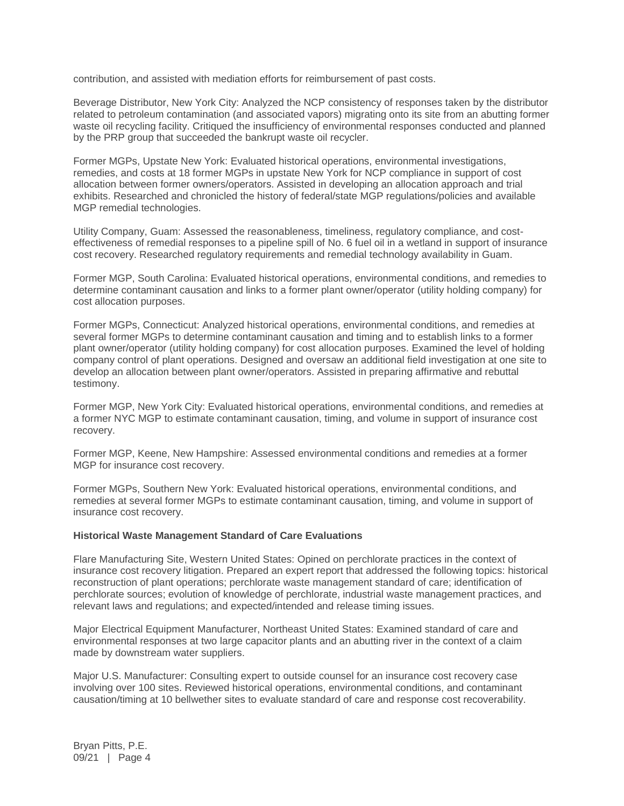contribution, and assisted with mediation efforts for reimbursement of past costs.

Beverage Distributor, New York City: Analyzed the NCP consistency of responses taken by the distributor related to petroleum contamination (and associated vapors) migrating onto its site from an abutting former waste oil recycling facility. Critiqued the insufficiency of environmental responses conducted and planned by the PRP group that succeeded the bankrupt waste oil recycler.

Former MGPs, Upstate New York: Evaluated historical operations, environmental investigations, remedies, and costs at 18 former MGPs in upstate New York for NCP compliance in support of cost allocation between former owners/operators. Assisted in developing an allocation approach and trial exhibits. Researched and chronicled the history of federal/state MGP regulations/policies and available MGP remedial technologies.

Utility Company, Guam: Assessed the reasonableness, timeliness, regulatory compliance, and costeffectiveness of remedial responses to a pipeline spill of No. 6 fuel oil in a wetland in support of insurance cost recovery. Researched regulatory requirements and remedial technology availability in Guam.

Former MGP, South Carolina: Evaluated historical operations, environmental conditions, and remedies to determine contaminant causation and links to a former plant owner/operator (utility holding company) for cost allocation purposes.

Former MGPs, Connecticut: Analyzed historical operations, environmental conditions, and remedies at several former MGPs to determine contaminant causation and timing and to establish links to a former plant owner/operator (utility holding company) for cost allocation purposes. Examined the level of holding company control of plant operations. Designed and oversaw an additional field investigation at one site to develop an allocation between plant owner/operators. Assisted in preparing affirmative and rebuttal testimony.

Former MGP, New York City: Evaluated historical operations, environmental conditions, and remedies at a former NYC MGP to estimate contaminant causation, timing, and volume in support of insurance cost recovery.

Former MGP, Keene, New Hampshire: Assessed environmental conditions and remedies at a former MGP for insurance cost recovery.

Former MGPs, Southern New York: Evaluated historical operations, environmental conditions, and remedies at several former MGPs to estimate contaminant causation, timing, and volume in support of insurance cost recovery.

#### **Historical Waste Management Standard of Care Evaluations**

Flare Manufacturing Site, Western United States: Opined on perchlorate practices in the context of insurance cost recovery litigation. Prepared an expert report that addressed the following topics: historical reconstruction of plant operations; perchlorate waste management standard of care; identification of perchlorate sources; evolution of knowledge of perchlorate, industrial waste management practices, and relevant laws and regulations; and expected/intended and release timing issues.

Major Electrical Equipment Manufacturer, Northeast United States: Examined standard of care and environmental responses at two large capacitor plants and an abutting river in the context of a claim made by downstream water suppliers.

Major U.S. Manufacturer: Consulting expert to outside counsel for an insurance cost recovery case involving over 100 sites. Reviewed historical operations, environmental conditions, and contaminant causation/timing at 10 bellwether sites to evaluate standard of care and response cost recoverability.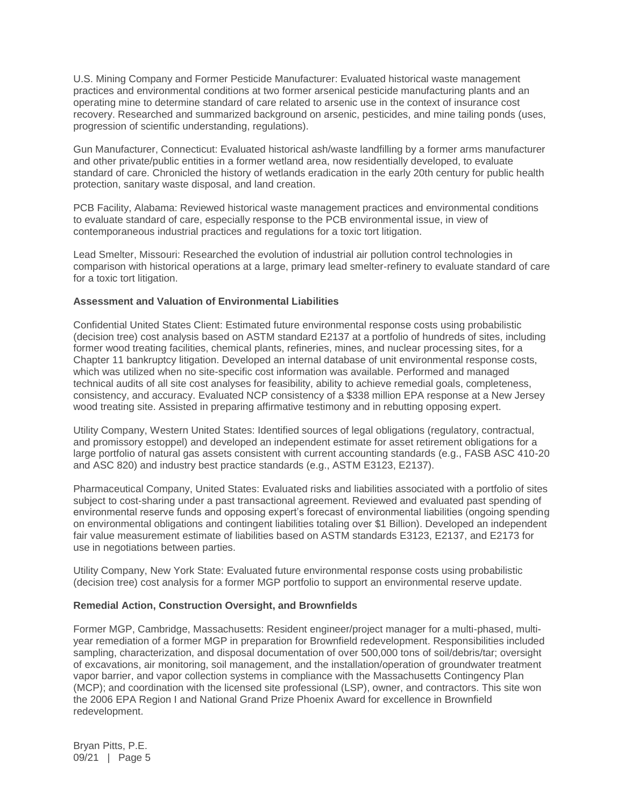U.S. Mining Company and Former Pesticide Manufacturer: Evaluated historical waste management practices and environmental conditions at two former arsenical pesticide manufacturing plants and an operating mine to determine standard of care related to arsenic use in the context of insurance cost recovery. Researched and summarized background on arsenic, pesticides, and mine tailing ponds (uses, progression of scientific understanding, regulations).

Gun Manufacturer, Connecticut: Evaluated historical ash/waste landfilling by a former arms manufacturer and other private/public entities in a former wetland area, now residentially developed, to evaluate standard of care. Chronicled the history of wetlands eradication in the early 20th century for public health protection, sanitary waste disposal, and land creation.

PCB Facility, Alabama: Reviewed historical waste management practices and environmental conditions to evaluate standard of care, especially response to the PCB environmental issue, in view of contemporaneous industrial practices and regulations for a toxic tort litigation.

Lead Smelter, Missouri: Researched the evolution of industrial air pollution control technologies in comparison with historical operations at a large, primary lead smelter-refinery to evaluate standard of care for a toxic tort litigation.

#### **Assessment and Valuation of Environmental Liabilities**

Confidential United States Client: Estimated future environmental response costs using probabilistic (decision tree) cost analysis based on ASTM standard E2137 at a portfolio of hundreds of sites, including former wood treating facilities, chemical plants, refineries, mines, and nuclear processing sites, for a Chapter 11 bankruptcy litigation. Developed an internal database of unit environmental response costs, which was utilized when no site-specific cost information was available. Performed and managed technical audits of all site cost analyses for feasibility, ability to achieve remedial goals, completeness, consistency, and accuracy. Evaluated NCP consistency of a \$338 million EPA response at a New Jersey wood treating site. Assisted in preparing affirmative testimony and in rebutting opposing expert.

Utility Company, Western United States: Identified sources of legal obligations (regulatory, contractual, and promissory estoppel) and developed an independent estimate for asset retirement obligations for a large portfolio of natural gas assets consistent with current accounting standards (e.g., FASB ASC 410-20 and ASC 820) and industry best practice standards (e.g., ASTM E3123, E2137).

Pharmaceutical Company, United States: Evaluated risks and liabilities associated with a portfolio of sites subject to cost-sharing under a past transactional agreement. Reviewed and evaluated past spending of environmental reserve funds and opposing expert's forecast of environmental liabilities (ongoing spending on environmental obligations and contingent liabilities totaling over \$1 Billion). Developed an independent fair value measurement estimate of liabilities based on ASTM standards E3123, E2137, and E2173 for use in negotiations between parties.

Utility Company, New York State: Evaluated future environmental response costs using probabilistic (decision tree) cost analysis for a former MGP portfolio to support an environmental reserve update.

#### **Remedial Action, Construction Oversight, and Brownfields**

Former MGP, Cambridge, Massachusetts: Resident engineer/project manager for a multi-phased, multiyear remediation of a former MGP in preparation for Brownfield redevelopment. Responsibilities included sampling, characterization, and disposal documentation of over 500,000 tons of soil/debris/tar; oversight of excavations, air monitoring, soil management, and the installation/operation of groundwater treatment vapor barrier, and vapor collection systems in compliance with the Massachusetts Contingency Plan (MCP); and coordination with the licensed site professional (LSP), owner, and contractors. This site won the 2006 EPA Region I and National Grand Prize Phoenix Award for excellence in Brownfield redevelopment.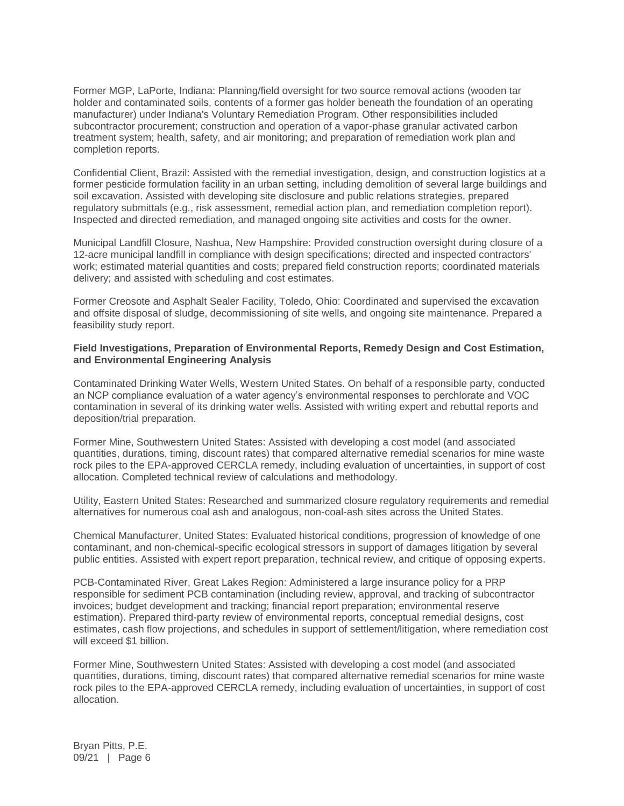Former MGP, LaPorte, Indiana: Planning/field oversight for two source removal actions (wooden tar holder and contaminated soils, contents of a former gas holder beneath the foundation of an operating manufacturer) under Indiana's Voluntary Remediation Program. Other responsibilities included subcontractor procurement; construction and operation of a vapor-phase granular activated carbon treatment system; health, safety, and air monitoring; and preparation of remediation work plan and completion reports.

Confidential Client, Brazil: Assisted with the remedial investigation, design, and construction logistics at a former pesticide formulation facility in an urban setting, including demolition of several large buildings and soil excavation. Assisted with developing site disclosure and public relations strategies, prepared regulatory submittals (e.g., risk assessment, remedial action plan, and remediation completion report). Inspected and directed remediation, and managed ongoing site activities and costs for the owner.

Municipal Landfill Closure, Nashua, New Hampshire: Provided construction oversight during closure of a 12-acre municipal landfill in compliance with design specifications; directed and inspected contractors' work; estimated material quantities and costs; prepared field construction reports; coordinated materials delivery; and assisted with scheduling and cost estimates.

Former Creosote and Asphalt Sealer Facility, Toledo, Ohio: Coordinated and supervised the excavation and offsite disposal of sludge, decommissioning of site wells, and ongoing site maintenance. Prepared a feasibility study report.

#### **Field Investigations, Preparation of Environmental Reports, Remedy Design and Cost Estimation, and Environmental Engineering Analysis**

Contaminated Drinking Water Wells, Western United States. On behalf of a responsible party, conducted an NCP compliance evaluation of a water agency's environmental responses to perchlorate and VOC contamination in several of its drinking water wells. Assisted with writing expert and rebuttal reports and deposition/trial preparation.

Former Mine, Southwestern United States: Assisted with developing a cost model (and associated quantities, durations, timing, discount rates) that compared alternative remedial scenarios for mine waste rock piles to the EPA-approved CERCLA remedy, including evaluation of uncertainties, in support of cost allocation. Completed technical review of calculations and methodology.

Utility, Eastern United States: Researched and summarized closure regulatory requirements and remedial alternatives for numerous coal ash and analogous, non-coal-ash sites across the United States.

Chemical Manufacturer, United States: Evaluated historical conditions, progression of knowledge of one contaminant, and non-chemical-specific ecological stressors in support of damages litigation by several public entities. Assisted with expert report preparation, technical review, and critique of opposing experts.

PCB-Contaminated River, Great Lakes Region: Administered a large insurance policy for a PRP responsible for sediment PCB contamination (including review, approval, and tracking of subcontractor invoices; budget development and tracking; financial report preparation; environmental reserve estimation). Prepared third-party review of environmental reports, conceptual remedial designs, cost estimates, cash flow projections, and schedules in support of settlement/litigation, where remediation cost will exceed \$1 billion

Former Mine, Southwestern United States: Assisted with developing a cost model (and associated quantities, durations, timing, discount rates) that compared alternative remedial scenarios for mine waste rock piles to the EPA-approved CERCLA remedy, including evaluation of uncertainties, in support of cost allocation.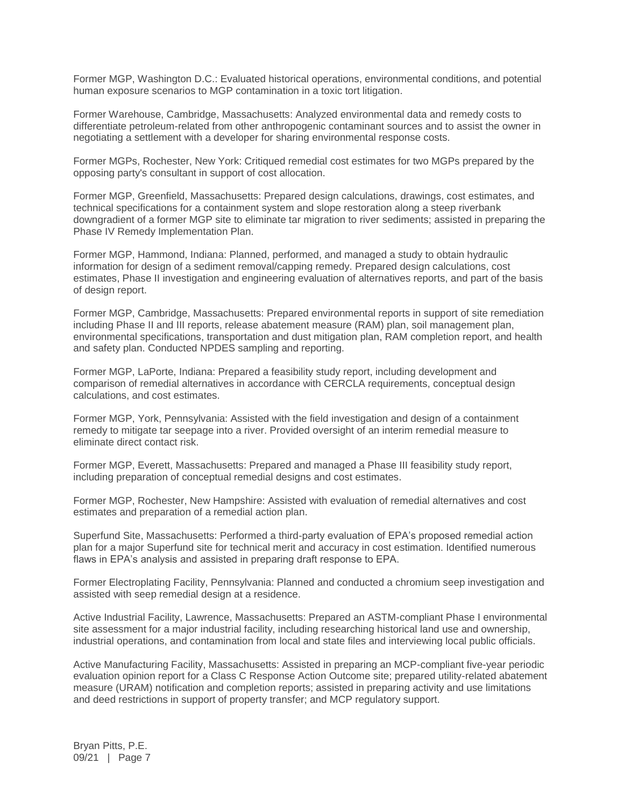Former MGP, Washington D.C.: Evaluated historical operations, environmental conditions, and potential human exposure scenarios to MGP contamination in a toxic tort litigation.

Former Warehouse, Cambridge, Massachusetts: Analyzed environmental data and remedy costs to differentiate petroleum-related from other anthropogenic contaminant sources and to assist the owner in negotiating a settlement with a developer for sharing environmental response costs.

Former MGPs, Rochester, New York: Critiqued remedial cost estimates for two MGPs prepared by the opposing party's consultant in support of cost allocation.

Former MGP, Greenfield, Massachusetts: Prepared design calculations, drawings, cost estimates, and technical specifications for a containment system and slope restoration along a steep riverbank downgradient of a former MGP site to eliminate tar migration to river sediments; assisted in preparing the Phase IV Remedy Implementation Plan.

Former MGP, Hammond, Indiana: Planned, performed, and managed a study to obtain hydraulic information for design of a sediment removal/capping remedy. Prepared design calculations, cost estimates, Phase II investigation and engineering evaluation of alternatives reports, and part of the basis of design report.

Former MGP, Cambridge, Massachusetts: Prepared environmental reports in support of site remediation including Phase II and III reports, release abatement measure (RAM) plan, soil management plan, environmental specifications, transportation and dust mitigation plan, RAM completion report, and health and safety plan. Conducted NPDES sampling and reporting.

Former MGP, LaPorte, Indiana: Prepared a feasibility study report, including development and comparison of remedial alternatives in accordance with CERCLA requirements, conceptual design calculations, and cost estimates.

Former MGP, York, Pennsylvania: Assisted with the field investigation and design of a containment remedy to mitigate tar seepage into a river. Provided oversight of an interim remedial measure to eliminate direct contact risk.

Former MGP, Everett, Massachusetts: Prepared and managed a Phase III feasibility study report, including preparation of conceptual remedial designs and cost estimates.

Former MGP, Rochester, New Hampshire: Assisted with evaluation of remedial alternatives and cost estimates and preparation of a remedial action plan.

Superfund Site, Massachusetts: Performed a third-party evaluation of EPA's proposed remedial action plan for a major Superfund site for technical merit and accuracy in cost estimation. Identified numerous flaws in EPA's analysis and assisted in preparing draft response to EPA.

Former Electroplating Facility, Pennsylvania: Planned and conducted a chromium seep investigation and assisted with seep remedial design at a residence.

Active Industrial Facility, Lawrence, Massachusetts: Prepared an ASTM-compliant Phase I environmental site assessment for a major industrial facility, including researching historical land use and ownership, industrial operations, and contamination from local and state files and interviewing local public officials.

Active Manufacturing Facility, Massachusetts: Assisted in preparing an MCP-compliant five-year periodic evaluation opinion report for a Class C Response Action Outcome site; prepared utility-related abatement measure (URAM) notification and completion reports; assisted in preparing activity and use limitations and deed restrictions in support of property transfer; and MCP regulatory support.